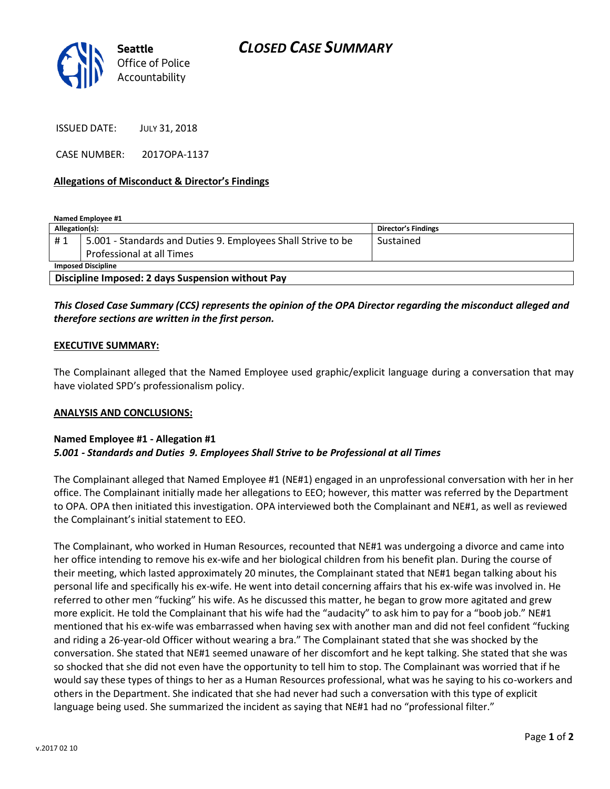

ISSUED DATE: JULY 31, 2018

CASE NUMBER: 2017OPA-1137

## **Allegations of Misconduct & Director's Findings**

**Named Employee #1**

| Allegation(s):                                    |                                                              | Director's Findings |
|---------------------------------------------------|--------------------------------------------------------------|---------------------|
| #1                                                | 5.001 - Standards and Duties 9. Employees Shall Strive to be | Sustained           |
|                                                   | Professional at all Times                                    |                     |
| <b>Imposed Discipline</b>                         |                                                              |                     |
| Discipline Imposed: 2 days Suspension without Pay |                                                              |                     |

## *This Closed Case Summary (CCS) represents the opinion of the OPA Director regarding the misconduct alleged and therefore sections are written in the first person.*

### **EXECUTIVE SUMMARY:**

The Complainant alleged that the Named Employee used graphic/explicit language during a conversation that may have violated SPD's professionalism policy.

#### **ANALYSIS AND CONCLUSIONS:**

#### **Named Employee #1 - Allegation #1** *5.001 - Standards and Duties 9. Employees Shall Strive to be Professional at all Times*

The Complainant alleged that Named Employee #1 (NE#1) engaged in an unprofessional conversation with her in her office. The Complainant initially made her allegations to EEO; however, this matter was referred by the Department to OPA. OPA then initiated this investigation. OPA interviewed both the Complainant and NE#1, as well as reviewed the Complainant's initial statement to EEO.

The Complainant, who worked in Human Resources, recounted that NE#1 was undergoing a divorce and came into her office intending to remove his ex-wife and her biological children from his benefit plan. During the course of their meeting, which lasted approximately 20 minutes, the Complainant stated that NE#1 began talking about his personal life and specifically his ex-wife. He went into detail concerning affairs that his ex-wife was involved in. He referred to other men "fucking" his wife. As he discussed this matter, he began to grow more agitated and grew more explicit. He told the Complainant that his wife had the "audacity" to ask him to pay for a "boob job." NE#1 mentioned that his ex-wife was embarrassed when having sex with another man and did not feel confident "fucking and riding a 26-year-old Officer without wearing a bra." The Complainant stated that she was shocked by the conversation. She stated that NE#1 seemed unaware of her discomfort and he kept talking. She stated that she was so shocked that she did not even have the opportunity to tell him to stop. The Complainant was worried that if he would say these types of things to her as a Human Resources professional, what was he saying to his co-workers and others in the Department. She indicated that she had never had such a conversation with this type of explicit language being used. She summarized the incident as saying that NE#1 had no "professional filter."